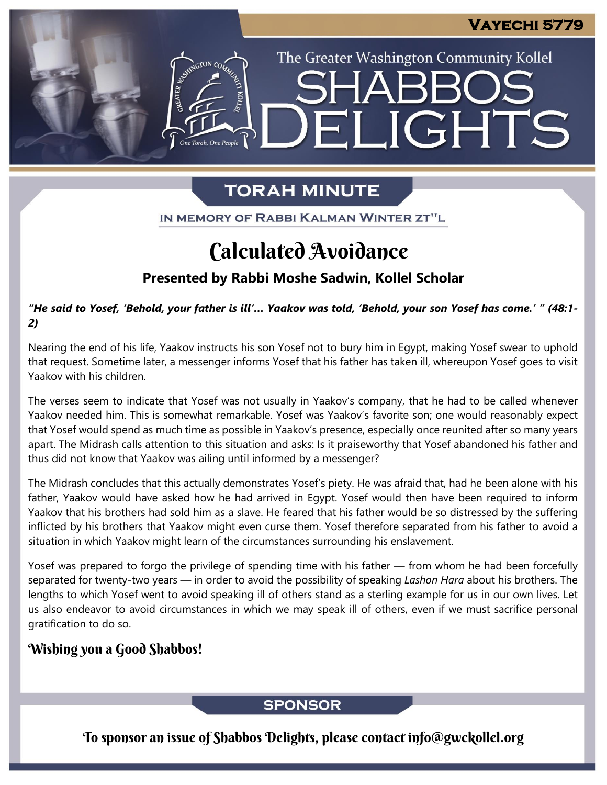The Greater Washington Community Kollel

ELIGHTS

## **TORAH MINUTE**

IN MEMORY OF RABBI KALMAN WINTER ZT"L

# Calculated Avoidance

### **Presented by Rabbi Moshe Sadwin, Kollel Scholar**

"He said to Yosef, 'Behold, your father is ill'... Yaakov was told, 'Behold, your son Yosef has come.' " (48:1-*2)*

Nearing the end of his life, Yaakov instructs his son Yosef not to bury him in Egypt, making Yosef swear to uphold that request. Sometime later, a messenger informs Yosef that his father has taken ill, whereupon Yosef goes to visit Yaakov with his children.

The verses seem to indicate that Yosef was not usually in Yaakov's company, that he had to be called whenever Yaakov needed him. This is somewhat remarkable. Yosef was Yaakov's favorite son; one would reasonably expect that Yosef would spend as much time as possible in Yaakov's presence, especially once reunited after so many years apart. The Midrash calls attention to this situation and asks: Is it praiseworthy that Yosef abandoned his father and thus did not know that Yaakov was ailing until informed by a messenger?

The Midrash concludes that this actually demonstrates Yosef's piety. He was afraid that, had he been alone with his father, Yaakov would have asked how he had arrived in Egypt. Yosef would then have been required to inform Yaakov that his brothers had sold him as a slave. He feared that his father would be so distressed by the suffering inflicted by his brothers that Yaakov might even curse them. Yosef therefore separated from his father to avoid a situation in which Yaakov might learn of the circumstances surrounding his enslavement.

Yosef was prepared to forgo the privilege of spending time with his father — from whom he had been forcefully separated for twenty-two years — in order to avoid the possibility of speaking *Lashon Hara* about his brothers. The lengths to which Yosef went to avoid speaking ill of others stand as a sterling example for us in our own lives. Let us also endeavor to avoid circumstances in which we may speak ill of others, even if we must sacrifice personal gratification to do so.

### Wishing you a Good Shabbos!

### **SPONSOR**

To sponsor an issue of Shabbos Delights, please contact info@gwckollel.org